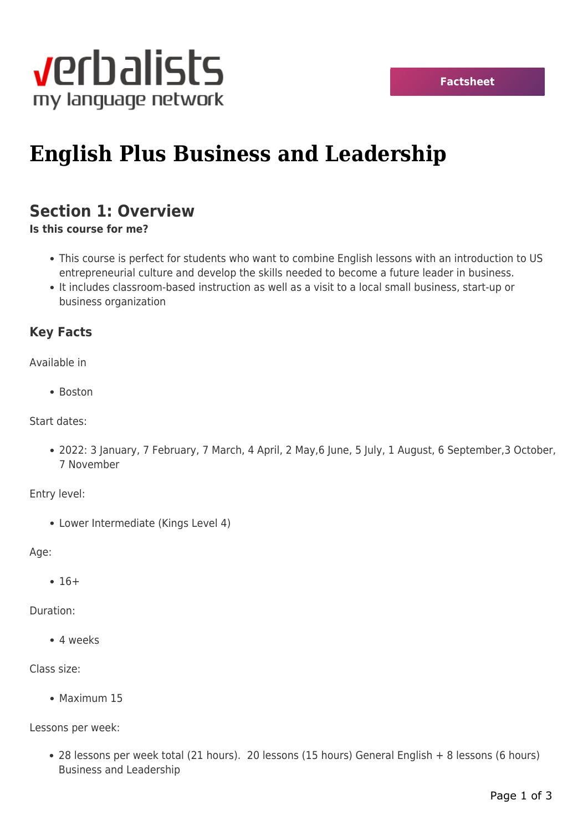

# **English Plus Business and Leadership**

## **Section 1: Overview**

**Is this course for me?**

- This course is perfect for students who want to combine English lessons with an introduction to US entrepreneurial culture and develop the skills needed to become a future leader in business.
- It includes classroom-based instruction as well as a visit to a local small business, start-up or business organization

### **Key Facts**

Available in

• Boston

Start dates:

2022: 3 January, 7 February, 7 March, 4 April, 2 May,6 June, 5 July, 1 August, 6 September,3 October, 7 November

Entry level:

Lower Intermediate (Kings Level 4)

Age:

 $• 16+$ 

Duration:

4 weeks

#### Class size:

• Maximum 15

Lessons per week:

28 lessons per week total (21 hours). 20 lessons (15 hours) General English + 8 lessons (6 hours) Business and Leadership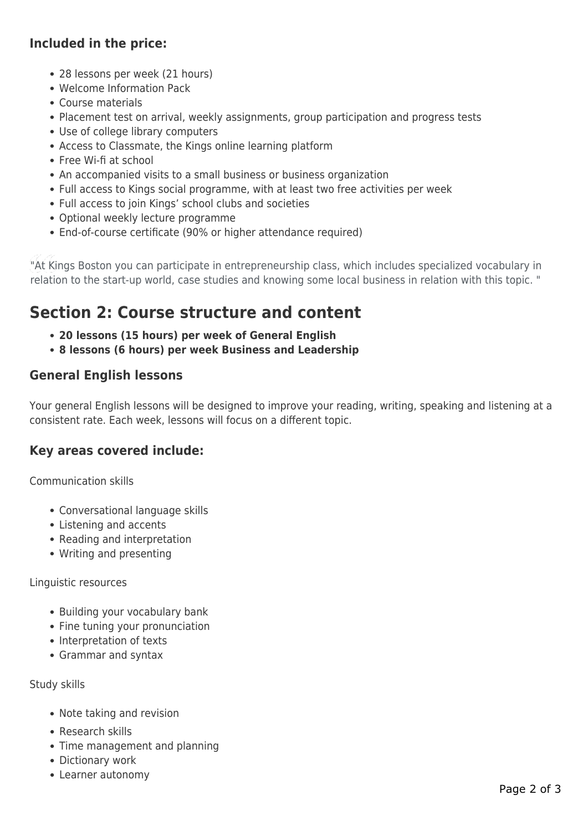### **Included in the price:**

- 28 lessons per week (21 hours)
- Welcome Information Pack
- Course materials
- Placement test on arrival, weekly assignments, group participation and progress tests
- Use of college library computers
- Access to Classmate, the Kings online learning platform
- Free Wi-fi at school
- An accompanied visits to a small business or business organization
- Full access to Kings social programme, with at least two free activities per week
- Full access to join Kings' school clubs and societies
- Optional weekly lecture programme
- End-of-course certificate (90% or higher attendance required)

"At Kings Boston you can participate in entrepreneurship class, which includes specialized vocabulary in relation to the start-up world, case studies and knowing some local business in relation with this topic. "

# **Section 2: Course structure and content**

- **20 lessons (15 hours) per week of General English**
- **8 lessons (6 hours) per week Business and Leadership**

### **General English lessons**

Your general English lessons will be designed to improve your reading, writing, speaking and listening at a consistent rate. Each week, lessons will focus on a different topic.

### **Key areas covered include:**

Communication skills

- Conversational language skills
- Listening and accents
- Reading and interpretation
- Writing and presenting

Linguistic resources

- Building your vocabulary bank
- Fine tuning your pronunciation
- Interpretation of texts
- Grammar and syntax

Study skills

- Note taking and revision
- Research skills
- Time management and planning
- Dictionary work
- Learner autonomy